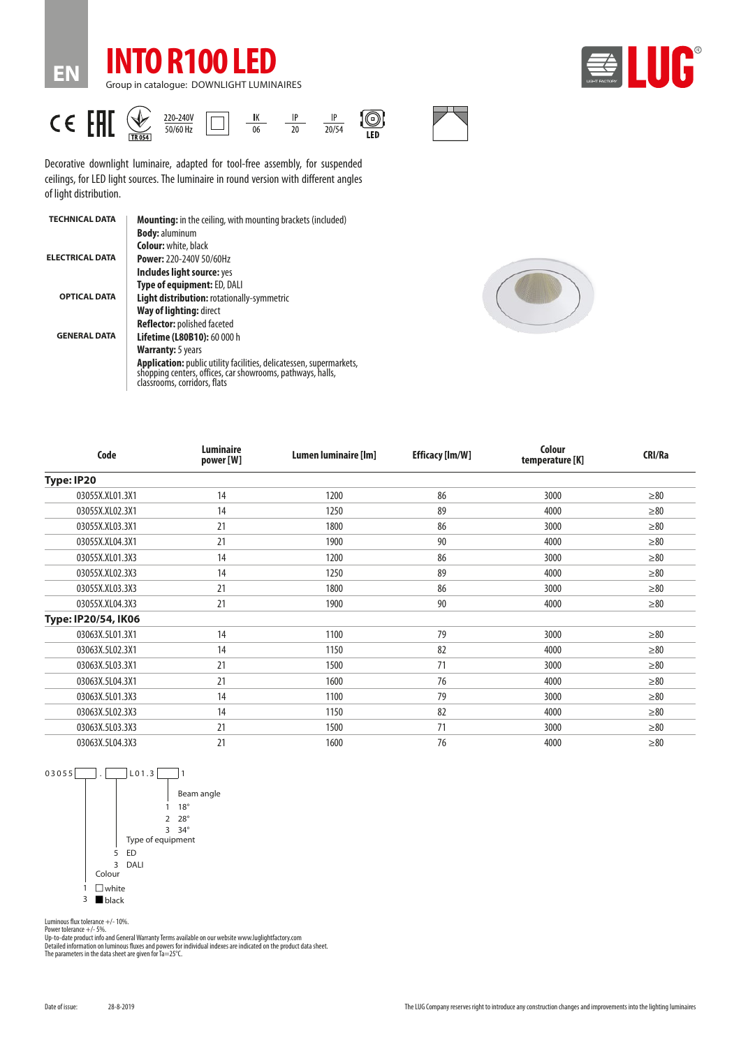





Decorative downlight luminaire, adapted for tool-free assembly, for suspended ceilings, for LED light sources. The luminaire in round version with different angles of light distribution.

| <b>TECHNICAL DATA</b>  | <b>Mounting:</b> in the ceiling, with mounting brackets (included)                                                                                                |
|------------------------|-------------------------------------------------------------------------------------------------------------------------------------------------------------------|
|                        | <b>Body: aluminum</b>                                                                                                                                             |
|                        | <b>Colour:</b> white, black                                                                                                                                       |
| <b>ELECTRICAL DATA</b> | <b>Power: 220-240V 50/60Hz</b>                                                                                                                                    |
|                        | Includes light source: yes                                                                                                                                        |
|                        | Type of equipment: ED, DALI                                                                                                                                       |
| <b>OPTICAL DATA</b>    | <b>Light distribution: rotationally-symmetric</b>                                                                                                                 |
|                        | Way of lighting: direct                                                                                                                                           |
|                        | <b>Reflector:</b> polished faceted                                                                                                                                |
| <b>GENERAL DATA</b>    | <b>Lifetime (L80B10): 60 000 h</b>                                                                                                                                |
|                        | <b>Warranty:</b> 5 years                                                                                                                                          |
|                        | Application: public utility facilities, delicatessen, supermarkets,<br>shopping centers, offices, car showrooms, pathways, halls,<br>classrooms, corridors, flats |



| Code                | <b>Luminaire</b><br>power [W] | Lumen luminaire [lm] | <b>Efficacy [Im/W]</b> | Colour<br>temperature [K] | CRI/Ra    |
|---------------------|-------------------------------|----------------------|------------------------|---------------------------|-----------|
| Type: IP20          |                               |                      |                        |                           |           |
| 03055X.XL01.3X1     | 14                            | 1200                 | 86                     | 3000                      | $\geq 80$ |
| 03055X.XL02.3X1     | 14                            | 1250                 | 89                     | 4000                      | $\geq 80$ |
| 03055X.XL03.3X1     | 21                            | 1800                 | 86                     | 3000                      | $\geq 80$ |
| 03055X.XL04.3X1     | 21                            | 1900                 | 90                     | 4000                      | $\geq 80$ |
| 03055X.XL01.3X3     | 14                            | 1200                 | 86                     | 3000                      | $\geq 80$ |
| 03055X.XL02.3X3     | 14                            | 1250                 | 89                     | 4000                      | $\geq 80$ |
| 03055X.XL03.3X3     | 21                            | 1800                 | 86                     | 3000                      | $\geq 80$ |
| 03055X.XL04.3X3     | 21                            | 1900                 | 90                     | 4000                      | $\geq 80$ |
| Type: IP20/54, IK06 |                               |                      |                        |                           |           |
| 03063X.5L01.3X1     | 14                            | 1100                 | 79                     | 3000                      | $\geq 80$ |
| 03063X.5L02.3X1     | 14                            | 1150                 | 82                     | 4000                      | $\geq 80$ |
| 03063X.5L03.3X1     | 21                            | 1500                 | 71                     | 3000                      | $\geq 80$ |
| 03063X.5L04.3X1     | 21                            | 1600                 | 76                     | 4000                      | $\geq 80$ |
| 03063X.5L01.3X3     | 14                            | 1100                 | 79                     | 3000                      | $\geq 80$ |
| 03063X.5L02.3X3     | 14                            | 1150                 | 82                     | 4000                      | $\geq 80$ |
| 03063X.5L03.3X3     | 21                            | 1500                 | 71                     | 3000                      | $\geq 80$ |
| 03063X.5L04.3X3     | 21                            | 1600                 | 76                     | 4000                      | $\geq 80$ |



Luminous flux tolerance +/- 10%.

Power tolerance +/- 5%.<br>Up-to-date product info and General Warranty Terms available on our website www.luglightfactory.com<br>Detailed information on luminous fluxes and powers for individual indexes are indicated on the pro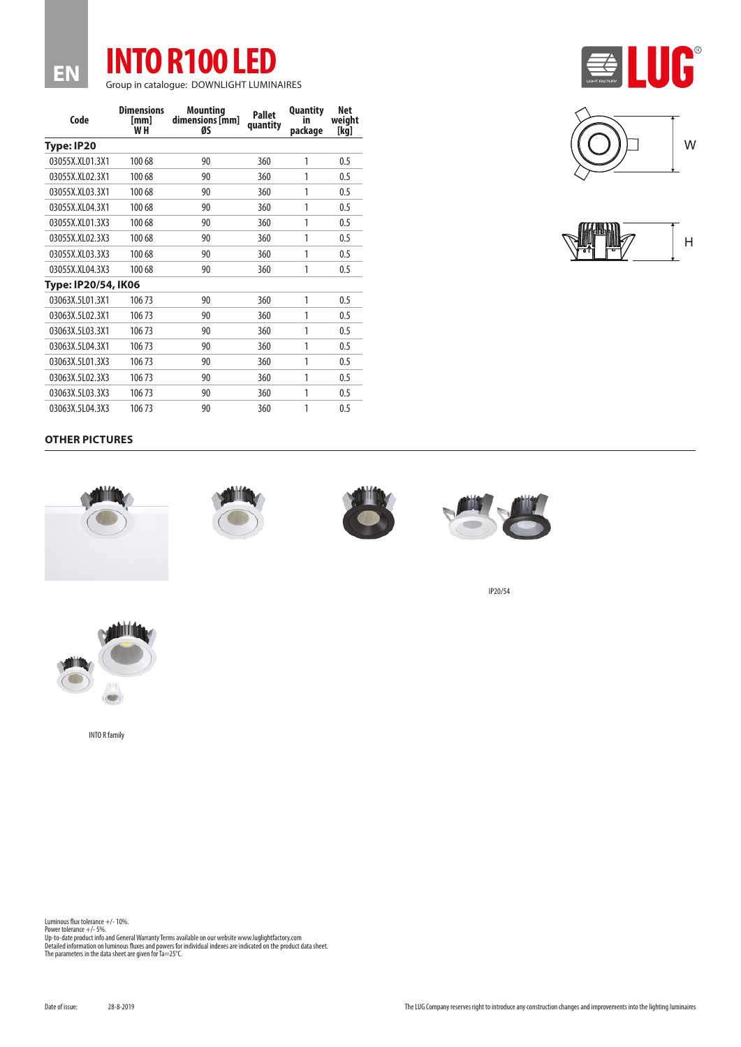

| Code                | <b>Dimensions</b><br>[mm]<br>W H | <b>Mounting</b><br>dimensions [mm]<br>ØS | <b>Pallet</b><br>quantity | <b>Quantity</b><br>in<br>package | Net<br>weight<br>[kg] |  |  |  |
|---------------------|----------------------------------|------------------------------------------|---------------------------|----------------------------------|-----------------------|--|--|--|
| Type: IP20          |                                  |                                          |                           |                                  |                       |  |  |  |
| 03055X.XL01.3X1     | 100 68                           | 90                                       | 360                       | 1                                | 0.5                   |  |  |  |
| 03055X.XL02.3X1     | 100 68                           | 90                                       | 360                       | 1                                | 0.5                   |  |  |  |
| 03055X.XL03.3X1     | 100 68                           | 90                                       | 360                       | 1                                | 0.5                   |  |  |  |
| 03055X.XL04.3X1     | 100 68                           | 90                                       | 360                       | 1                                | 0.5                   |  |  |  |
| 03055X.XL01.3X3     | 100 68                           | 90                                       | 360                       | 1                                | 0.5                   |  |  |  |
| 03055X.XL02.3X3     | 100 68                           | 90                                       | 360                       | 1                                | 0.5                   |  |  |  |
| 03055X.XL03.3X3     | 100 68                           | 90                                       | 360                       | 1                                | 0.5                   |  |  |  |
| 03055X.XL04.3X3     | 100 68                           | 90                                       | 360                       | 1                                | 0.5                   |  |  |  |
| Type: IP20/54, IK06 |                                  |                                          |                           |                                  |                       |  |  |  |
| 03063X.5L01.3X1     | 10673                            | 90                                       | 360                       | 1                                | 0.5                   |  |  |  |
| 03063X.5L02.3X1     | 10673                            | 90                                       | 360                       | 1                                | 0.5                   |  |  |  |
| 03063X.5L03.3X1     | 10673                            | 90                                       | 360                       | 1                                | 0.5                   |  |  |  |
| 03063X.5L04.3X1     | 10673                            | 90                                       | 360                       | 1                                | 0.5                   |  |  |  |
| 03063X.5L01.3X3     | 10673                            | 90                                       | 360                       | 1                                | 0.5                   |  |  |  |
| 03063X.5L02.3X3     | 10673                            | 90                                       | 360                       | 1                                | 0.5                   |  |  |  |
| 03063X.5L03.3X3     | 10673                            | 90                                       | 360                       | 1                                | 0.5                   |  |  |  |
| 03063X.5L04.3X3     | 10673                            | 90                                       | 360                       | 1                                | 0.5                   |  |  |  |







## **OTHER PICTURES**

**EN**









IP20/54



INTO R family

Luminous flux tolerance +/- 10%.

Power tolerance +/- 5%.<br>Up-to-date product info and General Warranty Terms available on our website www.luglightfactory.com<br>Detailed information on luminous fluxes and powers for individual indexes are indicated on the pro